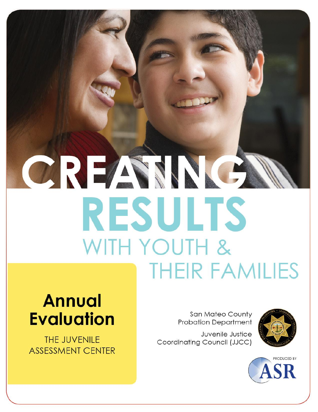# CREAMNE **RESULTS** WITH YOUTH & **THEIR FAMILIES**

## **Annual Evaluation**

THE JUVENILE **ASSESSMENT CENTER** 

San Mateo County **Probation Department** 

Juvenile Justice Coordinating Council (JJCC)



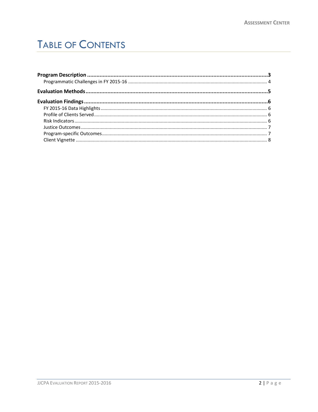## **TABLE OF CONTENTS**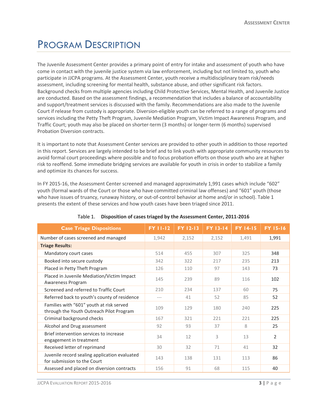## <span id="page-2-0"></span>PROGRAM DESCRIPTION

The Juvenile Assessment Center provides a primary point of entry for intake and assessment of youth who have come in contact with the juvenile justice system via law enforcement, including but not limited to, youth who participate in JJCPA programs. At the Assessment Center, youth receive a multidisciplinary team risk/needs assessment, including screening for mental health, substance abuse, and other significant risk factors. Background checks from multiple agencies including Child Protective Services, Mental Health, and Juvenile Justice are conducted. Based on the assessment findings, a recommendation that includes a balance of accountability and support/treatment services is discussed with the family. Recommendations are also made to the Juvenile Court if release from custody is appropriate. Diversion-eligible youth can be referred to a range of programs and services including the Petty Theft Program, Juvenile Mediation Program, Victim Impact Awareness Program, and Traffic Court; youth may also be placed on shorter-term (3 months) or longer-term (6 months) supervised Probation Diversion contracts.

It is important to note that Assessment Center services are provided to other youth in addition to those reported in this report. Services are largely intended to be brief and to link youth with appropriate community resources to avoid formal court proceedings where possible and to focus probation efforts on those youth who are at higher risk to reoffend. Some immediate bridging services are available for youth in crisis in order to stabilize a family and optimize its chances for success.

In FY 2015-16, the Assessment Center screened and managed approximately 1,991 cases which include "602" youth (formal wards of the Court or those who have committed criminal law offenses) and "601" youth (those who have issues of truancy, runaway history, or out-of-control behavior at home and/or in school). Table 1 presents the extent of these services and how youth cases have been triaged since 2011.

| <b>Case Triage Dispositions</b>                                                      | <b>FY 11-12</b> | <b>FY 12-13</b> | <b>FY 13-14</b> | <b>FY 14-15</b> | <b>FY 15-16</b> |
|--------------------------------------------------------------------------------------|-----------------|-----------------|-----------------|-----------------|-----------------|
| Number of cases screened and managed                                                 | 1,942           | 2,152           | 2,152           | 1,491           | 1,991           |
| <b>Triage Results:</b>                                                               |                 |                 |                 |                 |                 |
| Mandatory court cases                                                                | 514             | 455             | 307             | 325             | 348             |
| Booked into secure custody                                                           | 342             | 322             | 217             | 235             | 213             |
| Placed in Petty Theft Program                                                        | 126             | 110             | 97              | 143             | 73              |
| Placed in Juvenile Mediation/Victim Impact<br>Awareness Program                      | 145             | 239             | 89              | 116             | 102             |
| Screened and referred to Traffic Court                                               | 210             | 234             | 137             | 60              | 75              |
| Referred back to youth's county of residence                                         | ---             | 41              | 52              | 85              | 52              |
| Families with "601" youth at risk served<br>through the Youth Outreach Pilot Program | 109             | 129             | 180             | 740             | 225             |
| Criminal background checks                                                           | 167             | 321             | 221             | 221             | 225             |
| Alcohol and Drug assessment                                                          | 92              | 93              | 37              | 8               | 25              |
| Brief intervention services to increase<br>engagement in treatment                   | 34              | 12              | 3               | 13              | 2               |
| Received letter of reprimand                                                         | 30              | 32              | 71              | 41              | 32              |
| Juvenile record sealing application evaluated<br>for submission to the Court         | 143             | 138             | 131             | 113             | 86              |
| Assessed and placed on diversion contracts                                           | 156             | 91              | 68              | 115             | 40              |

#### Table 1. **Disposition of cases triaged by the Assessment Center, 2011-2016**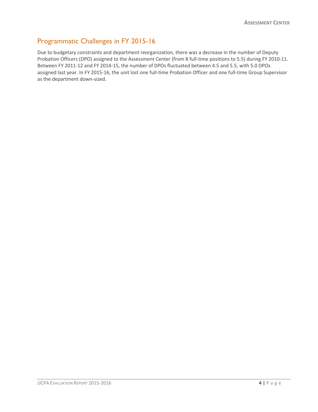#### <span id="page-3-0"></span>Programmatic Challenges in FY 2015-16

Due to budgetary constraints and department reorganization, there was a decrease in the number of Deputy Probation Officers (DPO) assigned to the Assessment Center (from 8 full-time positions to 5.5) during FY 2010-11. Between FY 2011-12 and FY 2014-15, the number of DPOs fluctuated between 4.5 and 5.5, with 5.0 DPOs assigned last year. In FY 2015-16, the unit lost one full-time Probation Officer and one full-time Group Supervisor as the department down-sized.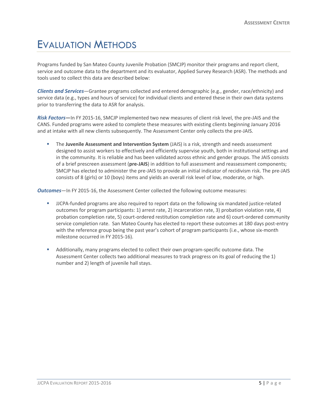## <span id="page-4-0"></span>EVALUATION METHODS

Programs funded by San Mateo County Juvenile Probation (SMCJP) monitor their programs and report client, service and outcome data to the department and its evaluator, Applied Survey Research (ASR). The methods and tools used to collect this data are described below:

*Clients and Services*—Grantee programs collected and entered demographic (e.g., gender, race/ethnicity) and service data (e.g., types and hours of service) for individual clients and entered these in their own data systems prior to transferring the data to ASR for analysis.

*Risk Factors***—**In FY 2015-16, SMCJP implemented two new measures of client risk level, the pre-JAIS and the CANS. Funded programs were asked to complete these measures with existing clients beginning January 2016 and at intake with all new clients subsequently. The Assessment Center only collects the pre-JAIS.

 The **Juvenile Assessment and Intervention System** (JAIS) is a risk, strength and needs assessment designed to assist workers to effectively and efficiently supervise youth, both in institutional settings and in the community. It is reliable and has been validated across ethnic and gender groups. The JAIS consists of a brief prescreen assessment (**pre-JAIS**) in addition to full assessment and reassessment components; SMCJP has elected to administer the pre-JAIS to provide an initial indicator of recidivism risk. The pre-JAIS consists of 8 (girls) or 10 (boys) items and yields an overall risk level of low, moderate, or high.

*Outcomes*—In FY 2015-16, the Assessment Center collected the following outcome measures:

- JJCPA-funded programs are also required to report data on the following six mandated justice-related outcomes for program participants: 1) arrest rate, 2) incarceration rate, 3) probation violation rate, 4) probation completion rate, 5) court-ordered restitution completion rate and 6) court-ordered community service completion rate. San Mateo County has elected to report these outcomes at 180 days post-entry with the reference group being the past year's cohort of program participants (i.e., whose six-month milestone occurred in FY 2015-16).
- Additionally, many programs elected to collect their own program-specific outcome data. The Assessment Center collects two additional measures to track progress on its goal of reducing the 1) number and 2) length of juvenile hall stays.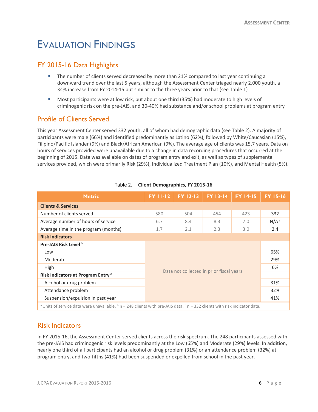## <span id="page-5-0"></span>EVALUATION FINDINGS

#### <span id="page-5-1"></span>FY 2015-16 Data Highlights

- The number of clients served decreased by more than 21% compared to last year continuing a downward trend over the last 5 years, although the Assessment Center triaged nearly 2,000 youth, a 34% increase from FY 2014-15 but similar to the three years prior to that (see Table 1)
- Most participants were at low risk, but about one third (35%) had moderate to high levels of criminogenic risk on the pre-JAIS, and 30-40% had substance and/or school problems at program entry

#### <span id="page-5-2"></span>Profile of Clients Served

This year Assessment Center served 332 youth, all of whom had demographic data (see Table 2). A majority of participants were male (66%) and identified predominantly as Latino (62%), followed by White/Caucasian (15%), Filipino/Pacific Islander (9%) and Black/African American (9%). The average age of clients was 15.7 years. Data on hours of services provided were unavailable due to a change in data recording procedures that occurred at the beginning of 2015. Data was available on dates of program entry and exit, as well as types of supplemental services provided, which were primarily Risk (29%), Individualized Treatment Plan (10%), and Mental Health (5%).

| <b>Metric</b>                                                                                                                                                  | <b>FY 11-12</b>                                               | FY 12-13 | <b>FY 13-14</b> | <b>FY 14-15</b> | <b>FY 15-16</b>  |
|----------------------------------------------------------------------------------------------------------------------------------------------------------------|---------------------------------------------------------------|----------|-----------------|-----------------|------------------|
| <b>Clients &amp; Services</b>                                                                                                                                  |                                                               |          |                 |                 |                  |
| Number of clients served                                                                                                                                       | 580                                                           | 504      | 454             | 423             | 332              |
| Average number of hours of service                                                                                                                             | 6.7                                                           | 8.4      | 8.3             | 7.0             | N/A <sup>a</sup> |
| Average time in the program (months)                                                                                                                           | 1.7                                                           | 2.1      | 2.3             | 3.0             | 2.4              |
| <b>Risk Indicators</b>                                                                                                                                         |                                                               |          |                 |                 |                  |
| Pre-JAIS Risk Level <sup>b</sup>                                                                                                                               |                                                               |          |                 |                 |                  |
| Low                                                                                                                                                            |                                                               |          |                 |                 | 65%              |
| Moderate                                                                                                                                                       |                                                               |          |                 |                 | 29%              |
| High                                                                                                                                                           |                                                               |          |                 | 6%              |                  |
| Risk Indicators at Program Entry <sup>c</sup>                                                                                                                  | Data not collected in prior fiscal years<br>31%<br>32%<br>41% |          |                 |                 |                  |
| Alcohol or drug problem                                                                                                                                        |                                                               |          |                 |                 |                  |
| Attendance problem                                                                                                                                             |                                                               |          |                 |                 |                  |
| Suspension/expulsion in past year                                                                                                                              |                                                               |          |                 |                 |                  |
| <sup>a</sup> Units of service data were unavailable, $\frac{b}{n}$ n = 248 clients with pre-JAIS data, $\frac{c}{n}$ n = 332 clients with risk indicator data. |                                                               |          |                 |                 |                  |

#### Table 2. **Client Demographics, FY 2015-16**

<sup>a</sup> Units of service data were unavailable.  $b$  n = 248 clients with pre-JAIS data.  $c$  n = 332 clients with risk indicator data.

#### <span id="page-5-3"></span>Risk Indicators

In FY 2015-16, the Assessment Center served clients across the risk spectrum. The 248 participants assessed with the pre-JAIS had criminogenic risk levels predominantly at the Low (65%) and Moderate (29%) levels. In addition, nearly one third of all participants had an alcohol or drug problem (31%) or an attendance problem (32%) at program entry, and two-fifths (41%) had been suspended or expelled from school in the past year.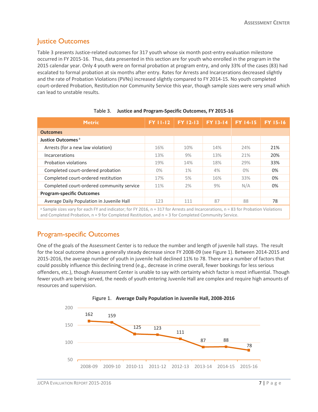#### <span id="page-6-0"></span>**Justice Outcomes**

Table 3 presents Justice-related outcomes for 317 youth whose six month post-entry evaluation milestone occurred in FY 2015-16. Thus, data presented in this section are for youth who enrolled in the program in the 2015 calendar year. Only 4 youth were on formal probation at program entry, and only 33% of the cases (83) had escalated to formal probation at six months after entry. Rates for Arrests and Incarcerations decreased slightly and the rate of Probation Violations (PVNs) increased slightly compared to FY 2014-15. No youth completed court-ordered Probation, Restitution nor Community Service this year, though sample sizes were very small which can lead to unstable results.

| <b>Metric</b>                                                                                                                       | <b>FY 11-12</b> | <b>FY 12-13</b> | <b>FY 13-14</b> | <b>FY 14-15</b> | <b>FY 15-16</b> |
|-------------------------------------------------------------------------------------------------------------------------------------|-----------------|-----------------|-----------------|-----------------|-----------------|
| <b>Outcomes</b>                                                                                                                     |                 |                 |                 |                 |                 |
| Justice Outcomes <sup>a</sup>                                                                                                       |                 |                 |                 |                 |                 |
| Arrests (for a new law violation)                                                                                                   | 16%             | 10%             | 14%             | 24%             | 21%             |
| Incarcerations                                                                                                                      | 13%             | 9%              | 13%             | 21%             | 20%             |
| Probation violations                                                                                                                | 19%             | 14%             | 18%             | 29%             | 33%             |
| Completed court-ordered probation                                                                                                   | $0\%$           | 1%              | 4%              | $0\%$           | 0%              |
| Completed court-ordered restitution                                                                                                 | 17%             | 5%              | 16%             | 33%             | 0%              |
| Completed court-ordered community service                                                                                           | 11%             | 2%              | 9%              | N/A             | 0%              |
| <b>Program-specific Outcomes</b>                                                                                                    |                 |                 |                 |                 |                 |
| Average Daily Population in Juvenile Hall                                                                                           | 123             | 111             | 87              | 88              | 78              |
| a Sample sizes vary for each FY and indicator: for FY 2016, n = 317 for Arrests and Incarcerations, n = 83 for Probation Violations |                 |                 |                 |                 |                 |

|  |  |  | Table 3. Justice and Program-Specific Outcomes, FY 2015-16 |  |  |
|--|--|--|------------------------------------------------------------|--|--|
|--|--|--|------------------------------------------------------------|--|--|

<sup>a</sup> Sample sizes vary for each FY and indicator; for FY 2016, n = 317 for Arrests and Incarcerations, n = 83 for Probation Violations and Completed Probation,  $n = 9$  for Completed Restitution, and  $n = 3$  for Completed Community Service.

#### <span id="page-6-1"></span>Program-specific Outcomes

One of the goals of the Assessment Center is to reduce the number and length of juvenile hall stays. The result for the local outcome shows a generally steady decrease since FY 2008-09 (see Figure 1). Between 2014-2015 and 2015-2016, the average number of youth in juvenile hall declined 11% to 78. There are a number of factors that could possibly influence this declining trend (e.g., decrease in crime overall, fewer bookings for less serious offenders, etc.), though Assessment Center is unable to say with certainty which factor is most influential. Though fewer youth are being served, the needs of youth entering Juvenile Hall are complex and require high amounts of resources and supervision.



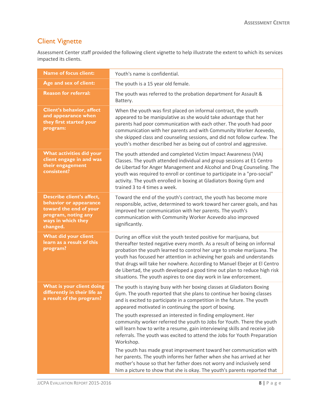#### <span id="page-7-0"></span>Client Vignette

Assessment Center staff provided the following client vignette to help illustrate the extent to which its services impacted its clients.

| <b>Name of focus client:</b>                                                                                                           | Youth's name is confidential.                                                                                                                                                                                                                                                                                                                                                                                                                                                                                                                                                                                                                                                                                                                                                                                                                                                                              |
|----------------------------------------------------------------------------------------------------------------------------------------|------------------------------------------------------------------------------------------------------------------------------------------------------------------------------------------------------------------------------------------------------------------------------------------------------------------------------------------------------------------------------------------------------------------------------------------------------------------------------------------------------------------------------------------------------------------------------------------------------------------------------------------------------------------------------------------------------------------------------------------------------------------------------------------------------------------------------------------------------------------------------------------------------------|
| Age and sex of client:                                                                                                                 | The youth is a 15 year old female.                                                                                                                                                                                                                                                                                                                                                                                                                                                                                                                                                                                                                                                                                                                                                                                                                                                                         |
| <b>Reason for referral:</b>                                                                                                            | The youth was referred to the probation department for Assault &<br>Battery.                                                                                                                                                                                                                                                                                                                                                                                                                                                                                                                                                                                                                                                                                                                                                                                                                               |
| <b>Client's behavior, affect</b><br>and appearance when<br>they first started your<br>program:                                         | When the youth was first placed on informal contract, the youth<br>appeared to be manipulative as she would take advantage that her<br>parents had poor communication with each other. The youth had poor<br>communication with her parents and with Community Worker Acevedo,<br>she skipped class and counseling sessions, and did not follow curfew. The<br>youth's mother described her as being out of control and aggressive.                                                                                                                                                                                                                                                                                                                                                                                                                                                                        |
| What activities did your<br>client engage in and was<br>their engagement<br>consistent?                                                | The youth attended and completed Victim Impact Awareness (VIA)<br>Classes. The youth attended individual and group sessions at E1 Centro<br>de Libertad for Anger Management and Alcohol and Drug Counseling. The<br>youth was required to enroll or continue to participate in a "pro-social"<br>activity. The youth enrolled in boxing at Gladiators Boxing Gym and<br>trained 3 to 4 times a week.                                                                                                                                                                                                                                                                                                                                                                                                                                                                                                      |
| Describe client's affect,<br>behavior or appearance<br>toward the end of your<br>program, noting any<br>ways in which they<br>changed. | Toward the end of the youth's contract, the youth has become more<br>responsible, active, determined to work toward her career goals, and has<br>improved her communication with her parents. The youth's<br>communication with Community Worker Acevedo also improved<br>significantly.                                                                                                                                                                                                                                                                                                                                                                                                                                                                                                                                                                                                                   |
| What did your client<br>learn as a result of this<br>program?                                                                          | During an office visit the youth tested positive for marijuana, but<br>thereafter tested negative every month. As a result of being on informal<br>probation the youth learned to control her urge to smoke marijuana. The<br>youth has focused her attention in achieving her goals and understands<br>that drugs will take her nowhere. According to Manuel Ebejer at El Centro<br>de Libertad, the youth developed a good time out plan to reduce high risk<br>situations. The youth aspires to one day work in law enforcement.                                                                                                                                                                                                                                                                                                                                                                        |
| What is your client doing<br>differently in their life as<br>a result of the program?                                                  | The youth is staying busy with her boxing classes at Gladiators Boxing<br>Gym. The youth reported that she plans to continue her boxing classes<br>and is excited to participate in a competition in the future. The youth<br>appeared motivated in continuing the sport of boxing.<br>The youth expressed an interested in finding employment. Her<br>community worker referred the youth to Jobs for Youth. There the youth<br>will learn how to write a resume, gain interviewing skills and receive job<br>referrals. The youth was excited to attend the Jobs for Youth Preparation<br>Workshop.<br>The youth has made great improvement toward her communication with<br>her parents. The youth informs her father when she has arrived at her<br>mother's house so that her father does not worry and inclusively send<br>him a picture to show that she is okay. The youth's parents reported that |